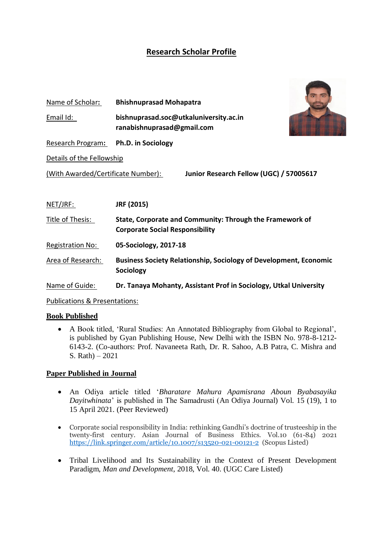# **Research Scholar Profile**

| Name of Scholar:                                                              | <b>Bhishnuprasad Mohapatra</b>                                                                     |
|-------------------------------------------------------------------------------|----------------------------------------------------------------------------------------------------|
| Email Id:                                                                     | bishnuprasad.soc@utkaluniversity.ac.in<br>ranabishnuprasad@gmail.com                               |
| Research Program:                                                             | <b>Ph.D. in Sociology</b>                                                                          |
| Details of the Fellowship                                                     |                                                                                                    |
| Junior Research Fellow (UGC) / 57005617<br>(With Awarded/Certificate Number): |                                                                                                    |
|                                                                               |                                                                                                    |
| NET/JRF:                                                                      | JRF (2015)                                                                                         |
| Title of Thesis:                                                              | State, Corporate and Community: Through the Framework of<br><b>Corporate Social Responsibility</b> |
| <b>Registration No:</b>                                                       | 05-Sociology, 2017-18                                                                              |
| Area of Research:                                                             | <b>Business Society Relationship, Sociology of Development, Economic</b><br><b>Sociology</b>       |
| Name of Guide:                                                                | Dr. Tanaya Mohanty, Assistant Prof in Sociology, Utkal University                                  |

Publications & Presentations:

# **Book Published**

 A Book titled, 'Rural Studies: An Annotated Bibliography from Global to Regional', is published by Gyan Publishing House, New Delhi with the ISBN No. 978-8-1212- 6143-2. (Co-authors: Prof. Navaneeta Rath, Dr. R. Sahoo, A.B Patra, C. Mishra and S. Rath) – 2021

# **Paper Published in Journal**

- An Odiya article titled '*Bharatare Mahura Apamisrana Aboun Byabasayika Dayitwhinata*' is published in The Samadrusti (An Odiya Journal) Vol. 15 (19), 1 to 15 April 2021. (Peer Reviewed)
- Corporate social responsibility in India: rethinking Gandhi's doctrine of trusteeship in the twenty-first century. Asian Journal of Business Ethics. Vol.10 (61-84) 2021 <https://link.springer.com/article/10.1007/s13520-021-00121-2>(Scopus Listed)
- Tribal Livelihood and Its Sustainability in the Context of Present Development Paradigm, *Man and Development*, 2018, Vol. 40. (UGC Care Listed)